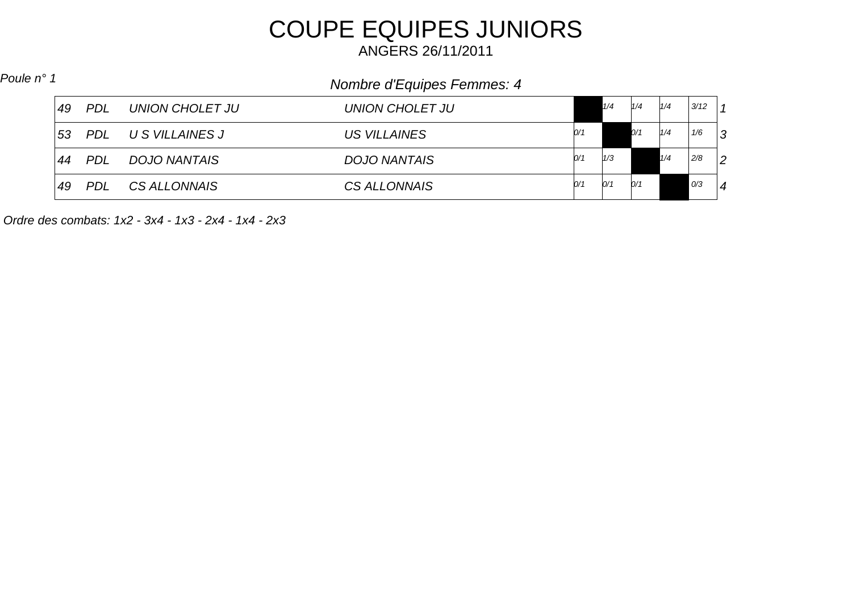## COUPE EQUIPES JUNIORS

ANGERS 26/11/2011

## *Nombre d'Equipes Femmes: 4 Poule n° 1*

| 49               | <b>PDL</b> | UNION CHOLET JU | UNION CHOLET JU     |     | 1/4 | 1/4 | 1/4 | 3/12 |                |
|------------------|------------|-----------------|---------------------|-----|-----|-----|-----|------|----------------|
| 53               | <b>PDL</b> | U S VILLAINES J | <b>US VILLAINES</b> | 0/1 |     | O/1 | 1/4 | 1/6  | 3              |
| $\vert 44 \vert$ | <b>PDL</b> | DOJO NANTAIS    | <b>DOJO NANTAIS</b> | 0/1 | 1/3 |     | 1/4 | 2/8  | $\overline{2}$ |
| 49               | <b>PDL</b> | CS ALLONNAIS    | CS ALLONNAIS        | 0/1 | 0/1 | 0/1 |     | 0/3  | 4              |

*Ordre des combats: 1x2 - 3x4 - 1x3 - 2x4 - 1x4 - 2x3*